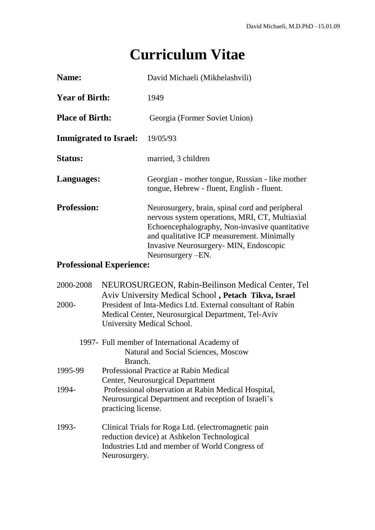## **Curriculum Vitae**

| Name:                        | David Michaeli (Mikhelashvili)                                                                                                                                                                                                                                    |
|------------------------------|-------------------------------------------------------------------------------------------------------------------------------------------------------------------------------------------------------------------------------------------------------------------|
| <b>Year of Birth:</b>        | 1949                                                                                                                                                                                                                                                              |
| <b>Place of Birth:</b>       | Georgia (Former Soviet Union)                                                                                                                                                                                                                                     |
| <b>Immigrated to Israel:</b> | 19/05/93                                                                                                                                                                                                                                                          |
| <b>Status:</b>               | married, 3 children                                                                                                                                                                                                                                               |
| Languages:                   | Georgian - mother tongue, Russian - like mother<br>tongue, Hebrew - fluent, English - fluent.                                                                                                                                                                     |
| <b>Profession:</b>           | Neurosurgery, brain, spinal cord and peripheral<br>nervous system operations, MRI, CT, Multiaxial<br>Echoencephalography, Non-invasive quantitative<br>and qualitative ICP measurement. Minimally<br>Invasive Neurosurgery- MIN, Endoscopic<br>Neurosurgery – EN. |

## **Professional Experience:**

| 2000-2008<br>$2000 -$ | NEUROSURGEON, Rabin-Beilinson Medical Center, Tel<br>Aviv University Medical School, Petach Tikva, Israel<br>President of Inta-Medics Ltd. External consultant of Rabin<br>Medical Center, Neurosurgical Department, Tel-Aviv<br>University Medical School. |  |
|-----------------------|-------------------------------------------------------------------------------------------------------------------------------------------------------------------------------------------------------------------------------------------------------------|--|
|                       | 1997- Full member of International Academy of                                                                                                                                                                                                               |  |
|                       | Natural and Social Sciences, Moscow                                                                                                                                                                                                                         |  |
|                       | Branch.                                                                                                                                                                                                                                                     |  |
| 1995-99               | Professional Practice at Rabin Medical                                                                                                                                                                                                                      |  |
|                       | Center, Neurosurgical Department                                                                                                                                                                                                                            |  |
| 1994-                 | Professional observation at Rabin Medical Hospital,                                                                                                                                                                                                         |  |
|                       | Neurosurgical Department and reception of Israeli's                                                                                                                                                                                                         |  |
|                       | practicing license.                                                                                                                                                                                                                                         |  |
| 1993-                 | Clinical Trials for Roga Ltd. (electromagnetic pain<br>reduction device) at Ashkelon Technological<br>Industries Ltd and member of World Congress of<br>Neurosurgery.                                                                                       |  |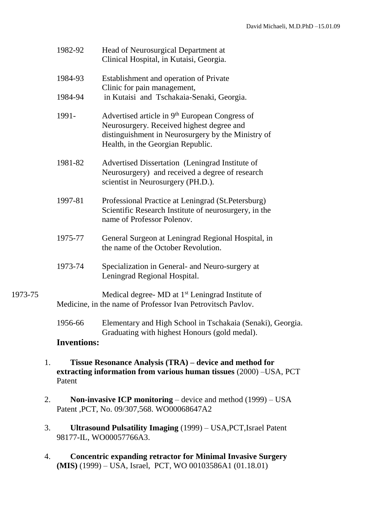|         | 1982-92            | Head of Neurosurgical Department at<br>Clinical Hospital, in Kutaisi, Georgia.                                                                                                                     |
|---------|--------------------|----------------------------------------------------------------------------------------------------------------------------------------------------------------------------------------------------|
|         | 1984-93            | Establishment and operation of Private<br>Clinic for pain management,                                                                                                                              |
|         | 1984-94            | in Kutaisi and Tschakaia-Senaki, Georgia.                                                                                                                                                          |
|         | 1991-              | Advertised article in 9 <sup>th</sup> European Congress of<br>Neurosurgery. Received highest degree and<br>distinguishment in Neurosurgery by the Ministry of<br>Health, in the Georgian Republic. |
|         | 1981-82            | Advertised Dissertation (Leningrad Institute of<br>Neurosurgery) and received a degree of research<br>scientist in Neurosurgery (PH.D.).                                                           |
|         | 1997-81            | Professional Practice at Leningrad (St.Petersburg)<br>Scientific Research Institute of neurosurgery, in the<br>name of Professor Polenov.                                                          |
|         | 1975-77            | General Surgeon at Leningrad Regional Hospital, in<br>the name of the October Revolution.                                                                                                          |
|         | 1973-74            | Specialization in General- and Neuro-surgery at<br>Leningrad Regional Hospital.                                                                                                                    |
| 1973-75 |                    | Medical degree- MD at 1 <sup>st</sup> Leningrad Institute of<br>Medicine, in the name of Professor Ivan Petrovitsch Pavlov.                                                                        |
|         | 1956-66            | Elementary and High School in Tschakaia (Senaki), Georgia.<br>Graduating with highest Honours (gold medal).                                                                                        |
|         | <b>Inventions:</b> |                                                                                                                                                                                                    |
|         |                    |                                                                                                                                                                                                    |

- 1. **Tissue Resonance Analysis (TRA) – device and method for extracting information from various human tissues** (2000) –USA, PCT Patent
- 2. **Non-invasive ICP monitoring** device and method (1999) USA Patent ,PCT, No. 09/307,568. WO00068647A2
- 3. **Ultrasound Pulsatility Imaging** (1999) USA,PCT,Israel Patent 98177-IL, WO00057766A3.
- 4. **Concentric expanding retractor for Minimal Invasive Surgery (MIS)** (1999) – USA, Israel, PCT, WO 00103586A1 (01.18.01)